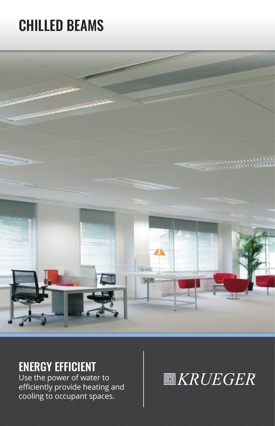# CHILLED BEAMS



# ENERGY EFFICIENT

Use the power of water to efficiently provide heating and cooling to occupant spaces.

# **圖KRUEGER**